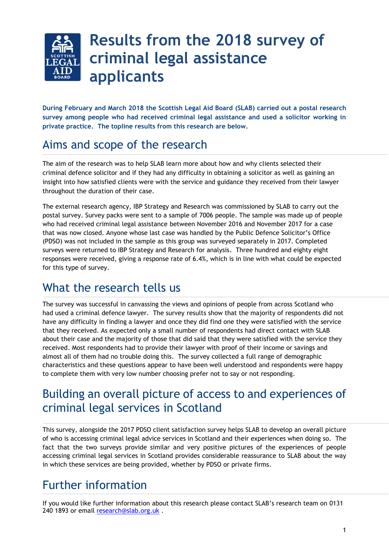

**During February and March 2018 the Scottish Legal Aid Board (SLAB) carried out a postal research survey among people who had received criminal legal assistance and used a solicitor working in private practice. The topline results from this research are below.** 

# Aims and scope of the research

The aim of the research was to help SLAB learn more about how and why clients selected their criminal defence solicitor and if they had any difficulty in obtaining a solicitor as well as gaining an insight into how satisfied clients were with the service and guidance they received from their lawyer throughout the duration of their case.

The external research agency, IBP Strategy and Research was commissioned by SLAB to carry out the postal survey. Survey packs were sent to a sample of 7006 people. The sample was made up of people who had received criminal legal assistance between November 2016 and November 2017 for a case that was now closed. Anyone whose last case was handled by the Public Defence Solicitor's Office (PDSO) was not included in the sample as this group was surveyed separately in 2017. Completed surveys were returned to IBP Strategy and Research for analysis. Three hundred and eighty eight responses were received, giving a response rate of 6.4%, which is in line with what could be expected for this type of survey.

# What the research tells us

The survey was successful in canvassing the views and opinions of people from across Scotland who had used a criminal defence lawyer. The survey results show that the majority of respondents did not have any difficulty in finding a lawyer and once they did find one they were satisfied with the service that they received. As expected only a small number of respondents had direct contact with SLAB about their case and the majority of those that did said that they were satisfied with the service they received. Most respondents had to provide their lawyer with proof of their income or savings and almost all of them had no trouble doing this. The survey collected a full range of demographic characteristics and these questions appear to have been well understood and respondents were happy to complete them with very low number choosing prefer not to say or not responding.

# Building an overall picture of access to and experiences of criminal legal services in Scotland

This survey, alongside the 2017 PDSO client satisfaction survey helps SLAB to develop an overall picture of who is accessing criminal legal advice services in Scotland and their experiences when doing so. The fact that the two surveys provide similar and very positive pictures of the experiences of people accessing criminal legal services in Scotland provides considerable reassurance to SLAB about the way in which these services are being provided, whether by PDSO or private firms.

# Further information

If you would like further information about this research please contact SLAB's research team on 0131 240 1893 or email [research@slab.org.uk](mailto:research@slab.org.uk) .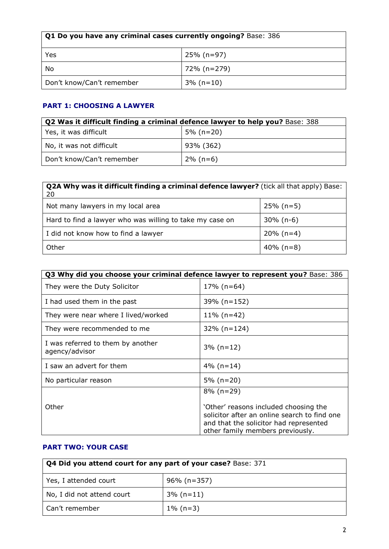| <b>Q1 Do you have any criminal cases currently ongoing?</b> Base: 386 |             |  |  |
|-----------------------------------------------------------------------|-------------|--|--|
| Yes                                                                   | 25% (n=97)  |  |  |
| No                                                                    | 72% (n=279) |  |  |
| Don't know/Can't remember<br>$3\%$ (n=10)                             |             |  |  |

## **PART 1: CHOOSING A LAWYER**

| Q2 Was it difficult finding a criminal defence lawyer to help you? Base: 388 |              |  |  |
|------------------------------------------------------------------------------|--------------|--|--|
| Yes, it was difficult                                                        | $5\%$ (n=20) |  |  |
| No, it was not difficult                                                     | 93% (362)    |  |  |
| Don't know/Can't remember                                                    | $2\%$ (n=6)  |  |  |

| <b>Q2A Why was it difficult finding a criminal defence lawyer?</b> (tick all that apply) Base:<br>20 |              |  |  |
|------------------------------------------------------------------------------------------------------|--------------|--|--|
| Not many lawyers in my local area                                                                    | $25\%$ (n=5) |  |  |
| Hard to find a lawyer who was willing to take my case on                                             | $30\%$ (n-6) |  |  |
| I did not know how to find a lawyer                                                                  | $20\%$ (n=4) |  |  |
| Other                                                                                                | $40\%$ (n=8) |  |  |

|                                                     | Q3 Why did you choose your criminal defence lawyer to represent you? Base: 386                                                                                                      |  |  |  |  |
|-----------------------------------------------------|-------------------------------------------------------------------------------------------------------------------------------------------------------------------------------------|--|--|--|--|
| They were the Duty Solicitor                        | $17\%$ (n=64)                                                                                                                                                                       |  |  |  |  |
| I had used them in the past                         | 39% (n=152)                                                                                                                                                                         |  |  |  |  |
| They were near where I lived/worked                 | $11\%$ (n=42)                                                                                                                                                                       |  |  |  |  |
| They were recommended to me                         | $32\%$ (n=124)                                                                                                                                                                      |  |  |  |  |
| I was referred to them by another<br>agency/advisor | $3\%$ (n=12)                                                                                                                                                                        |  |  |  |  |
| I saw an advert for them                            | $4\%$ (n=14)                                                                                                                                                                        |  |  |  |  |
| No particular reason                                | $5\%$ (n=20)                                                                                                                                                                        |  |  |  |  |
| Other                                               | $8\%$ (n=29)<br>'Other' reasons included choosing the<br>solicitor after an online search to find one<br>and that the solicitor had represented<br>other family members previously. |  |  |  |  |

## **PART TWO: YOUR CASE**

| Q4 Did you attend court for any part of your case? Base: 371 |              |  |  |
|--------------------------------------------------------------|--------------|--|--|
| Yes, I attended court                                        | 96% (n=357)  |  |  |
| No, I did not attend court                                   | $3\%$ (n=11) |  |  |
| Can't remember                                               | $1\%$ (n=3)  |  |  |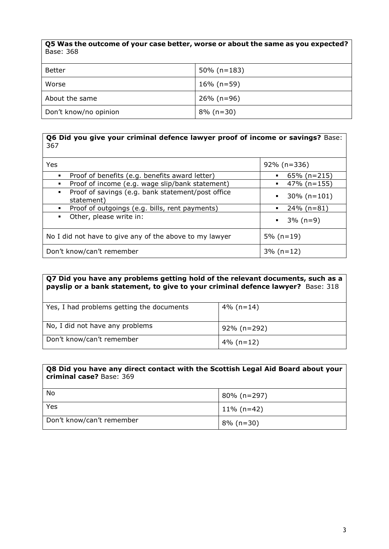**Q5 Was the outcome of your case better, worse or about the same as you expected?** Base: 368

| Better                | $50\%$ (n=183) |
|-----------------------|----------------|
| Worse                 | $16\%$ (n=59)  |
| About the same        | $26\%$ (n=96)  |
| Don't know/no opinion | $8\%$ (n=30)   |

#### **Q6 Did you give your criminal defence lawyer proof of income or savings?** Base: 367

| Yes                                                                  | $92\%$ (n=336)      |
|----------------------------------------------------------------------|---------------------|
| Proof of benefits (e.g. benefits award letter)                       | $65\%$ (n=215)<br>٠ |
| Proof of income (e.g. wage slip/bank statement)                      | 47% (n=155)<br>٠    |
| Proof of savings (e.g. bank statement/post office<br>٠<br>statement) | $30\%$ (n=101)<br>٠ |
| Proof of outgoings (e.g. bills, rent payments)                       | 24% (n=81)<br>٠     |
| Other, please write in:                                              | $\bullet$ 3% (n=9)  |
| No I did not have to give any of the above to my lawyer              | $5\%$ (n=19)        |
| Don't know/can't remember                                            | $3\%$ (n=12)        |

#### **Q7 Did you have any problems getting hold of the relevant documents, such as a payslip or a bank statement, to give to your criminal defence lawyer?** Base: 318

| Yes, I had problems getting the documents | 4% (n=14)    |
|-------------------------------------------|--------------|
| No, I did not have any problems           | 92% (n=292)  |
| Don't know/can't remember                 | $4\%$ (n=12) |

#### **Q8 Did you have any direct contact with the Scottish Legal Aid Board about your criminal case?** Base: 369

| No                        | l 80% (n=297) |
|---------------------------|---------------|
| Yes                       | 11% (n=42)    |
| Don't know/can't remember | $8\%$ (n=30)  |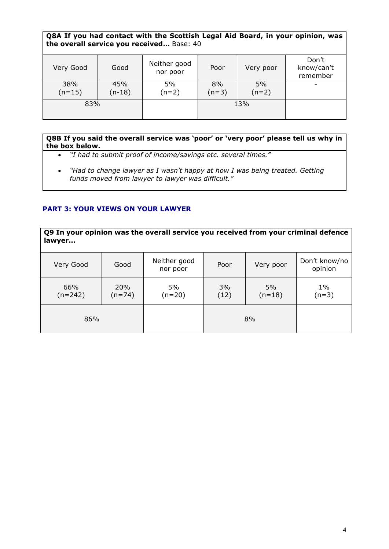### **Q8A If you had contact with the Scottish Legal Aid Board, in your opinion, was the overall service you received…** Base: 40

| Very Good       | Good            | Neither good<br>nor poor | Poor          | Very poor     | Don't<br>know/can't<br>remember |
|-----------------|-----------------|--------------------------|---------------|---------------|---------------------------------|
| 38%<br>$(n=15)$ | 45%<br>$(n-18)$ | 5%<br>$(n=2)$            | 8%<br>$(n=3)$ | 5%<br>$(n=2)$ | -                               |
| 83%             |                 |                          |               | 13%           |                                 |

#### **Q8B If you said the overall service was 'poor' or 'very poor' please tell us why in the box below.**

- *"I had to submit proof of income/savings etc. several times."*
- *"Had to change lawyer as I wasn't happy at how I was being treated. Getting funds moved from lawyer to lawyer was difficult."*

### **PART 3: YOUR VIEWS ON YOUR LAWYER**

**Q9 In your opinion was the overall service you received from your criminal defence lawyer…** Very Good Good Neither good nor poor Poor | Very poor Don't know/no opinion

| 66%<br>$(n=242)$ | 20%<br>$(n=74)$ | 5%<br>(n=20) | 3%<br>5%<br>(12)<br>$(n=18)$ |    | $1\%$<br>$(n=3)$ |
|------------------|-----------------|--------------|------------------------------|----|------------------|
| 86%              |                 |              |                              | 8% |                  |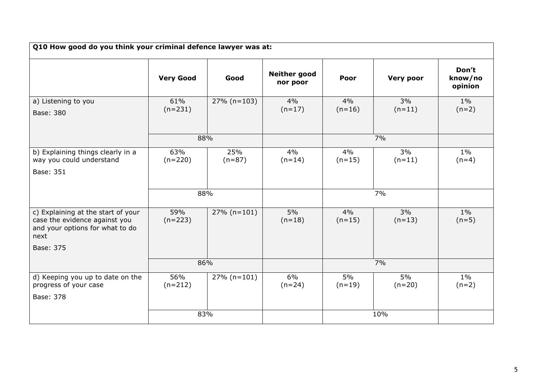| Q10 How good do you think your criminal defence lawyer was at:                                                 |                  |                 |                                 |                |                  |                             |
|----------------------------------------------------------------------------------------------------------------|------------------|-----------------|---------------------------------|----------------|------------------|-----------------------------|
|                                                                                                                | <b>Very Good</b> | Good            | <b>Neither good</b><br>nor poor | Poor           | <b>Very poor</b> | Don't<br>know/no<br>opinion |
| a) Listening to you<br>Base: 380                                                                               | 61%<br>$(n=231)$ | $27\%$ (n=103)  | 4%<br>$(n=17)$                  | 4%<br>$(n=16)$ | 3%<br>$(n=11)$   | $1\%$<br>$(n=2)$            |
|                                                                                                                | 88%              |                 |                                 |                | 7%               |                             |
| b) Explaining things clearly in a<br>way you could understand<br>Base: 351                                     | 63%<br>$(n=220)$ | 25%<br>$(n=87)$ | 4%<br>$(n=14)$                  | 4%<br>$(n=15)$ | 3%<br>$(n=11)$   | $1\%$<br>$(n=4)$            |
|                                                                                                                | 88%              |                 |                                 |                | 7%               |                             |
| c) Explaining at the start of your<br>case the evidence against you<br>and your options for what to do<br>next | 59%<br>$(n=223)$ | $27\%$ (n=101)  | 5%<br>$(n=18)$                  | 4%<br>$(n=15)$ | 3%<br>$(n=13)$   | $1\%$<br>$(n=5)$            |
| Base: 375                                                                                                      |                  |                 |                                 |                |                  |                             |
|                                                                                                                | 86%              |                 |                                 | 7%             |                  |                             |
| d) Keeping you up to date on the<br>progress of your case<br>Base: 378                                         | 56%<br>$(n=212)$ | $27\%$ (n=101)  | 6%<br>$(n=24)$                  | 5%<br>$(n=19)$ | 5%<br>$(n=20)$   | $1\%$<br>$(n=2)$            |
|                                                                                                                | 83%              |                 |                                 |                | 10%              |                             |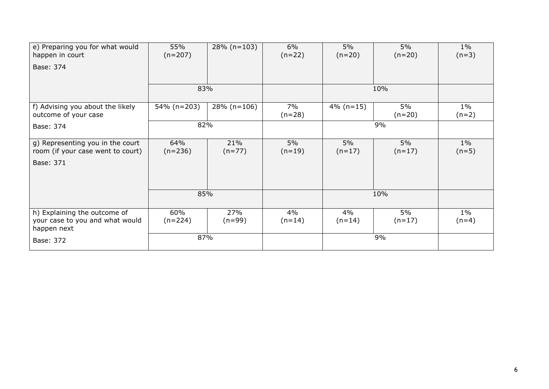| e) Preparing you for what would<br>happen in court                             | 55%<br>$(n=207)$ | $28\%$ (n=103)  | 6%<br>$(n=22)$ | 5%<br>$(n=20)$ | 5%<br>$(n=20)$ | $1\%$<br>$(n=3)$ |
|--------------------------------------------------------------------------------|------------------|-----------------|----------------|----------------|----------------|------------------|
| Base: 374                                                                      |                  |                 |                |                |                |                  |
|                                                                                |                  |                 |                |                |                |                  |
|                                                                                | 83%              |                 |                | 10%            |                |                  |
| f) Advising you about the likely<br>outcome of your case                       | 54% (n=203)      | $28\%$ (n=106)  | 7%<br>$(n=28)$ | $4\%$ (n=15)   | 5%<br>$(n=20)$ | $1\%$<br>$(n=2)$ |
| Base: 374                                                                      | 82%              |                 |                | 9%             |                |                  |
| g) Representing you in the court<br>room (if your case went to court)          | 64%<br>$(n=236)$ | 21%<br>$(n=77)$ | 5%<br>$(n=19)$ | 5%<br>$(n=17)$ | 5%<br>$(n=17)$ | $1\%$<br>$(n=5)$ |
| Base: 371                                                                      |                  |                 |                |                |                |                  |
|                                                                                |                  |                 |                |                |                |                  |
|                                                                                | 85%              |                 |                | 10%            |                |                  |
| h) Explaining the outcome of<br>your case to you and what would<br>happen next | 60%<br>$(n=224)$ | 27%<br>$(n=99)$ | 4%<br>$(n=14)$ | 4%<br>$(n=14)$ | 5%<br>$(n=17)$ | $1\%$<br>$(n=4)$ |
| Base: 372                                                                      | 87%              |                 |                |                | 9%             |                  |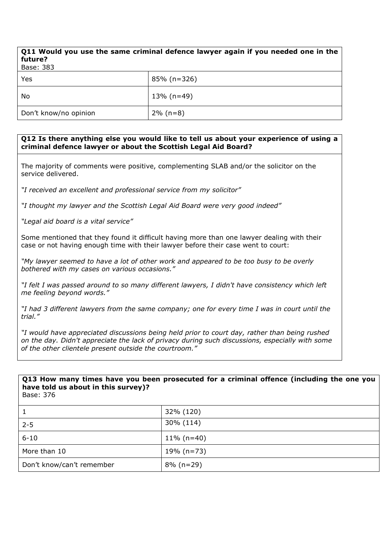### **Q11 Would you use the same criminal defence lawyer again if you needed one in the future?**

| Base: 383             |                |  |  |
|-----------------------|----------------|--|--|
| Yes                   | $85\%$ (n=326) |  |  |
| No                    | $13\%$ (n=49)  |  |  |
| Don't know/no opinion | $2\%$ (n=8)    |  |  |

#### **Q12 Is there anything else you would like to tell us about your experience of using a criminal defence lawyer or about the Scottish Legal Aid Board?**

The majority of comments were positive, complementing SLAB and/or the solicitor on the service delivered.

*"I received an excellent and professional service from my solicitor"*

*"I thought my lawyer and the Scottish Legal Aid Board were very good indeed"*

*"Legal aid board is a vital service"*

Some mentioned that they found it difficult having more than one lawyer dealing with their case or not having enough time with their lawyer before their case went to court:

*"My lawyer seemed to have a lot of other work and appeared to be too busy to be overly bothered with my cases on various occasions."*

*"I felt I was passed around to so many different lawyers, I didn't have consistency which left me feeling beyond words."*

*"I had 3 different lawyers from the same company; one for every time I was in court until the trial."*

*"I would have appreciated discussions being held prior to court day, rather than being rushed on the day. Didn't appreciate the lack of privacy during such discussions, especially with some of the other clientele present outside the courtroom."*

## **Q13 How many times have you been prosecuted for a criminal offence (including the one you have told us about in this survey)?**

Base: 376

|                           | 32% (120)     |
|---------------------------|---------------|
| $2 - 5$                   | 30% (114)     |
| $6 - 10$                  | $11\%$ (n=40) |
| More than 10              | 19% (n=73)    |
| Don't know/can't remember | $8\%$ (n=29)  |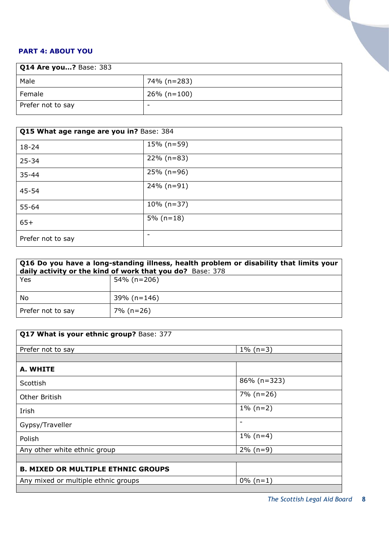### **PART 4: ABOUT YOU**

| <b>Q14 Are you?</b> Base: 383 |                |  |  |
|-------------------------------|----------------|--|--|
| Male                          | 74% (n=283)    |  |  |
| Female                        | $26\%$ (n=100) |  |  |
| Prefer not to say             | -              |  |  |

| Q15 What age range are you in? Base: 384 |               |  |  |
|------------------------------------------|---------------|--|--|
| $18 - 24$                                | $15\%$ (n=59) |  |  |
| $25 - 34$                                | $22\%$ (n=83) |  |  |
| $35 - 44$                                | $25\%$ (n=96) |  |  |
| 45-54                                    | $24\%$ (n=91) |  |  |
| $55 - 64$                                | $10\%$ (n=37) |  |  |
| $65+$                                    | $5\%$ (n=18)  |  |  |
| Prefer not to say                        | -             |  |  |

| Q16 Do you have a long-standing illness, health problem or disability that limits your<br>daily activity or the kind of work that you do? Base: 378 |             |  |  |
|-----------------------------------------------------------------------------------------------------------------------------------------------------|-------------|--|--|
| Yes                                                                                                                                                 | 54% (n=206) |  |  |
| No                                                                                                                                                  | 39% (n=146) |  |  |
| Prefer not to say                                                                                                                                   | 7% (n=26)   |  |  |

| Q17 What is your ethnic group? Base: 377  |                          |  |  |
|-------------------------------------------|--------------------------|--|--|
| Prefer not to say                         | $1\%$ (n=3)              |  |  |
|                                           |                          |  |  |
| A. WHITE                                  |                          |  |  |
| Scottish                                  | $86\%$ (n=323)           |  |  |
| Other British                             | $7\%$ (n=26)             |  |  |
| Irish                                     | $1\%$ (n=2)              |  |  |
| Gypsy/Traveller                           | $\overline{\phantom{0}}$ |  |  |
| Polish                                    | $1\%$ (n=4)              |  |  |
| Any other white ethnic group              | $2\%$ (n=9)              |  |  |
|                                           |                          |  |  |
| <b>B. MIXED OR MULTIPLE ETHNIC GROUPS</b> |                          |  |  |
| Any mixed or multiple ethnic groups       | $0\%$ (n=1)              |  |  |
|                                           |                          |  |  |